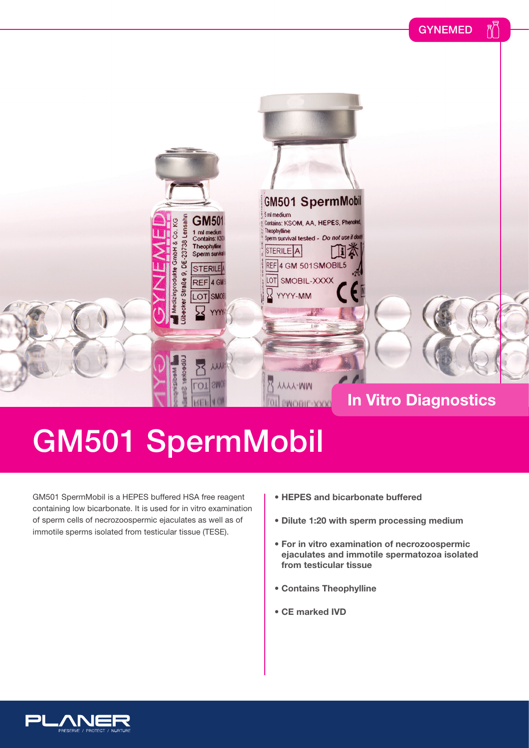

## GM501 SpermMobil

GM501 SpermMobil is a HEPES buffered HSA free reagent containing low bicarbonate. It is used for in vitro examination of sperm cells of necrozoospermic ejaculates as well as of immotile sperms isolated from testicular tissue (TESE).

- **HEPES and bicarbonate buffered**
- **Dilute 1:20 with sperm processing medium**
- **For in vitro examination of necrozoospermic ejaculates and immotile spermatozoa isolated from testicular tissue**
- **Contains Theophylline**
- **CE marked IVD**